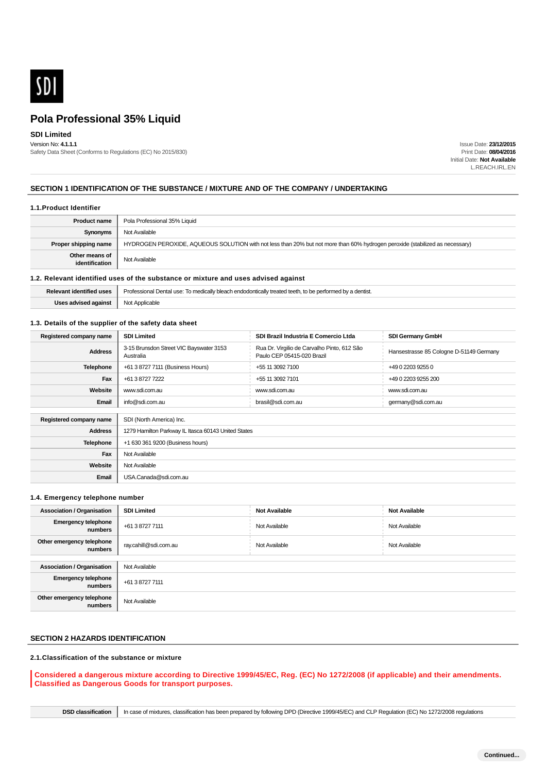

## **SDI Limited**

Version No: **4.1.1.1** Safety Data Sheet (Conforms to Regulations (EC) No 2015/830)

Issue Date: **23/12/2015** Print Date: **08/04/2016** Initial Date: **Not Available** L.REACH.IRL.EN

### **SECTION 1 IDENTIFICATION OF THE SUBSTANCE / MIXTURE AND OF THE COMPANY / UNDERTAKING**

#### **1.1.Product Identifier**

| <b>Product name</b>              | Pola Professional 35% Liquid                                                                                                 |  |  |
|----------------------------------|------------------------------------------------------------------------------------------------------------------------------|--|--|
| Synonyms                         | Not Available                                                                                                                |  |  |
| Proper shipping name             | HYDROGEN PEROXIDE, AQUEOUS SOLUTION with not less than 20% but not more than 60% hydrogen peroxide (stabilized as necessary) |  |  |
| Other means of<br>identification | Not Available                                                                                                                |  |  |

### **1.2. Relevant identified uses of the substance or mixture and uses advised against**

| <b>Relevant identified uses</b> | Professional Dental use: To medically bleach endodontically treated teeth, to be performed by a dentist. |  |  |
|---------------------------------|----------------------------------------------------------------------------------------------------------|--|--|
| Uses advised against            | Not Applicable                                                                                           |  |  |

#### **1.3. Details of the supplier of the safety data sheet**

| Registered company name | <b>SDI Limited</b>                                   | SDI Brazil Industria E Comercio Ltda                                      | <b>SDI Germany GmbH</b>                 |  |  |  |
|-------------------------|------------------------------------------------------|---------------------------------------------------------------------------|-----------------------------------------|--|--|--|
| <b>Address</b>          | 3-15 Brunsdon Street VIC Bayswater 3153<br>Australia | Rua Dr. Virgilio de Carvalho Pinto, 612 São<br>Paulo CEP 05415-020 Brazil | Hansestrasse 85 Cologne D-51149 Germany |  |  |  |
| Telephone               | +61 3 8727 7111 (Business Hours)                     | +55 11 3092 7100                                                          | +49 0 2203 9255 0                       |  |  |  |
| Fax                     | +61 3 8727 7222                                      | +55 11 3092 7101                                                          | +49 0 2203 9255 200                     |  |  |  |
| Website                 | www.sdi.com.au                                       | www.sdi.com.au                                                            | www.sdi.com.au                          |  |  |  |
| Email                   | info@sdi.com.au                                      | brasil@sdi.com.au                                                         | germany@sdi.com.au                      |  |  |  |
|                         |                                                      |                                                                           |                                         |  |  |  |
| Registered company name | SDI (North America) Inc.                             |                                                                           |                                         |  |  |  |
| <b>Address</b>          | 1279 Hamilton Parkway IL Itasca 60143 United States  |                                                                           |                                         |  |  |  |
| Telephone               | +1 630 361 9200 (Business hours)                     |                                                                           |                                         |  |  |  |
| Fax                     | Not Available                                        |                                                                           |                                         |  |  |  |
| Website                 | Not Available                                        |                                                                           |                                         |  |  |  |
| Email                   | USA.Canada@sdi.com.au                                |                                                                           |                                         |  |  |  |

## **1.4. Emergency telephone number**

| <b>Association / Organisation</b>     | <b>SDI Limited</b>    | <b>Not Available</b> | <b>Not Available</b> |  |  |
|---------------------------------------|-----------------------|----------------------|----------------------|--|--|
| <b>Emergency telephone</b><br>numbers | +61 3 8727 7111       | Not Available        | Not Available        |  |  |
| Other emergency telephone<br>numbers  | ray.cahill@sdi.com.au | Not Available        | Not Available        |  |  |
|                                       |                       |                      |                      |  |  |
| <b>Association / Organisation</b>     | Not Available         |                      |                      |  |  |
| <b>Emergency telephone</b><br>numbers | +61 3 8727 7111       |                      |                      |  |  |
| Other emergency telephone<br>numbers  | Not Available         |                      |                      |  |  |

## **SECTION 2 HAZARDS IDENTIFICATION**

### **2.1.Classification of the substance or mixture**

**Considered a dangerous mixture according to Directive 1999/45/EC, Reg. (EC) No 1272/2008 (if applicable) and their amendments. Classified as Dangerous Goods for transport purposes.**

**DSD classification** In case of mixtures, classification has been prepared by following DPD (Directive 1999/45/EC) and CLP Regulation (EC) No 1272/2008 regulations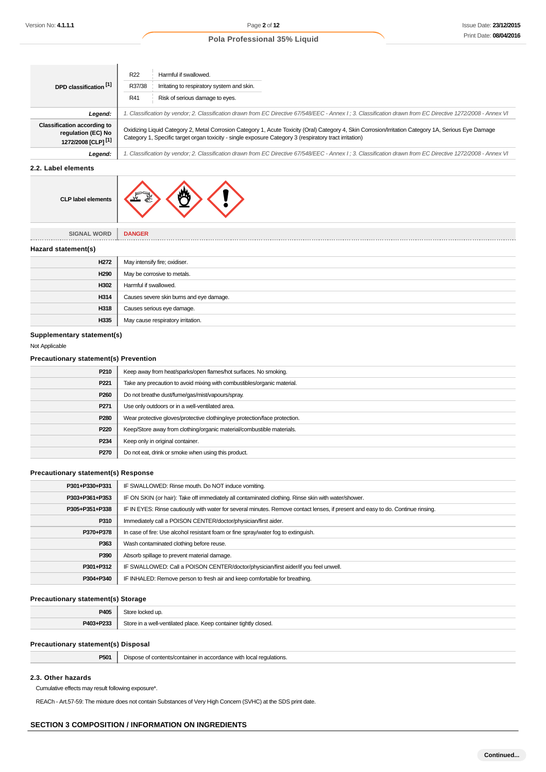. . . . . . . .

## **Pola Professional 35% Liquid**

| DPD classification [1]                                                                     | R <sub>22</sub><br>Harmful if swallowed.<br>R37/38<br>Irritating to respiratory system and skin.<br>R41<br>Risk of serious damage to eyes.                                                                                                                                                                                                                                                                                     |  |  |
|--------------------------------------------------------------------------------------------|--------------------------------------------------------------------------------------------------------------------------------------------------------------------------------------------------------------------------------------------------------------------------------------------------------------------------------------------------------------------------------------------------------------------------------|--|--|
| Legend:                                                                                    | 1. Classification by vendor; 2. Classification drawn from EC Directive 67/548/EEC - Annex I ; 3. Classification drawn from EC Directive 1272/2008 - Annex VI<br>Oxidizing Liquid Category 2, Metal Corrosion Category 1, Acute Toxicity (Oral) Category 4, Skin Corrosion/Irritation Category 1A, Serious Eye Damage<br>Category 1, Specific target organ toxicity - single exposure Category 3 (respiratory tract irritation) |  |  |
| <b>Classification according to</b><br>regulation (EC) No<br>1272/2008 [CLP] <sup>[1]</sup> |                                                                                                                                                                                                                                                                                                                                                                                                                                |  |  |
| Legend:                                                                                    | . Classification by vendor; 2. Classification drawn from EC Directive 67/548/EEC - Annex I ; 3. Classification drawn from EC Directive 1272/2008 - Annex VI                                                                                                                                                                                                                                                                    |  |  |

## **2.2. Label elements**

| <b>CLP label elements</b> |  |
|---------------------------|--|
|---------------------------|--|

**SIGNAL WORD DANGER** \_\_\_\_\_\_\_\_\_\_\_\_\_\_\_

**Hazard statement(s)**

| H <sub>272</sub> | May intensify fire; oxidiser.            |  |  |
|------------------|------------------------------------------|--|--|
| H <sub>290</sub> | May be corrosive to metals.              |  |  |
| H302             | Harmful if swallowed.                    |  |  |
| H314             | Causes severe skin burns and eye damage. |  |  |
| H318             | Causes serious eye damage.               |  |  |
| H335             | May cause respiratory irritation.        |  |  |

## **Supplementary statement(s)**

Not Applicable

### **Precautionary statement(s) Prevention**

| P210        | Keep away from heat/sparks/open flames/hot surfaces. No smoking.           |  |  |  |
|-------------|----------------------------------------------------------------------------|--|--|--|
| P221        | Take any precaution to avoid mixing with combustibles/organic material.    |  |  |  |
| P260        | Do not breathe dust/fume/gas/mist/vapours/spray.                           |  |  |  |
| P271        | Use only outdoors or in a well-ventilated area.                            |  |  |  |
| P280        | Wear protective gloves/protective clothing/eye protection/face protection. |  |  |  |
| P220        | Keep/Store away from clothing/organic material/combustible materials.      |  |  |  |
| P234        | Keep only in original container.                                           |  |  |  |
| <b>P270</b> | Do not eat, drink or smoke when using this product.                        |  |  |  |
|             |                                                                            |  |  |  |

#### **Precautionary statement(s) Response**

| P301+P330+P331 | IF SWALLOWED: Rinse mouth. Do NOT induce vomiting.                                                                               |  |  |  |
|----------------|----------------------------------------------------------------------------------------------------------------------------------|--|--|--|
| P303+P361+P353 | IF ON SKIN (or hair): Take off immediately all contaminated clothing. Rinse skin with water/shower.                              |  |  |  |
| P305+P351+P338 | IF IN EYES: Rinse cautiously with water for several minutes. Remove contact lenses, if present and easy to do. Continue rinsing. |  |  |  |
| P310           | Immediately call a POISON CENTER/doctor/physician/first aider.                                                                   |  |  |  |
| P370+P378      | In case of fire: Use alcohol resistant foam or fine spray/water fog to extinguish.                                               |  |  |  |
| P363           | Wash contaminated clothing before reuse.                                                                                         |  |  |  |
| P390           | Absorb spillage to prevent material damage.                                                                                      |  |  |  |
| P301+P312      | IF SWALLOWED: Call a POISON CENTER/doctor/physician/first aider/if you feel unwell.                                              |  |  |  |
| P304+P340      | IF INHALED: Remove person to fresh air and keep comfortable for breathing.                                                       |  |  |  |

#### **Precautionary statement(s) Storage**

| P405      | cked un                                                          |
|-----------|------------------------------------------------------------------|
| P403+P233 | Store in a well-ventilated place. Keep container tightly closed. |

### **Precautionary statement(s) Disposal**

| P501 | Dispose of contents/container in accordance with local regulations. |
|------|---------------------------------------------------------------------|
|------|---------------------------------------------------------------------|

## **2.3. Other hazards**

Cumulative effects may result following exposure\*.

REACh - Art.57-59: The mixture does not contain Substances of Very High Concern (SVHC) at the SDS print date.

### **SECTION 3 COMPOSITION / INFORMATION ON INGREDIENTS**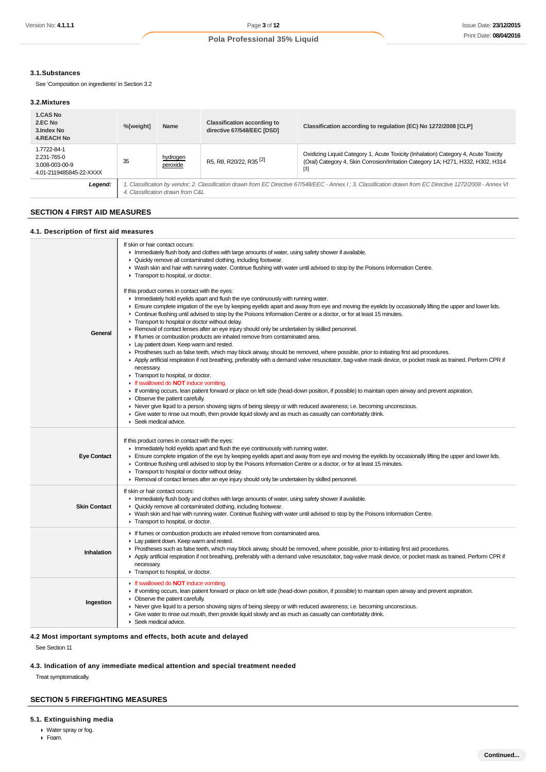#### **3.1.Substances**

See 'Composition on ingredients' in Section 3.2

#### **3.2.Mixtures**

| <b>1.CAS No</b><br>2.EC No<br>3.Index No<br><b>4.REACH No</b>           | %[weight]                                                                                                                                                                                        | <b>Name</b>          | <b>Classification according to</b><br>directive 67/548/EEC [DSD]                                                                                                                                                       | Classification according to regulation (EC) No 1272/2008 [CLP] |
|-------------------------------------------------------------------------|--------------------------------------------------------------------------------------------------------------------------------------------------------------------------------------------------|----------------------|------------------------------------------------------------------------------------------------------------------------------------------------------------------------------------------------------------------------|----------------------------------------------------------------|
| 1.7722-84-1<br>2.231-765-0<br>3.008-003-00-9<br>4.01-2119485845-22-XXXX | 35                                                                                                                                                                                               | hydrogen<br>peroxide | Oxidizing Liquid Category 1, Acute Toxicity (Inhalation) Category 4, Acute Toxicity<br>R5, R8, R20/22, R35 <sup>[2]</sup><br>(Oral) Category 4, Skin Corrosion/Irritation Category 1A; H271, H332, H302, H314<br>$[3]$ |                                                                |
| Legend:                                                                 | 1. Classification by vendor; 2. Classification drawn from EC Directive 67/548/EEC - Annex I ; 3. Classification drawn from EC Directive 1272/2008 - Annex VI<br>4. Classification drawn from C&L |                      |                                                                                                                                                                                                                        |                                                                |

## **SECTION 4 FIRST AID MEASURES**

#### **4.1. Description of first aid measures**

| General             | If skin or hair contact occurs:<br>Immediately flush body and clothes with large amounts of water, using safety shower if available.<br>• Quickly remove all contaminated clothing, including footwear.<br>▶ Wash skin and hair with running water. Continue flushing with water until advised to stop by the Poisons Information Centre.<br>Transport to hospital, or doctor.<br>If this product comes in contact with the eyes:<br>In Immediately hold eyelids apart and flush the eye continuously with running water.<br>Ensure complete irrigation of the eye by keeping eyelids apart and away from eye and moving the eyelids by occasionally lifting the upper and lower lids.<br>• Continue flushing until advised to stop by the Poisons Information Centre or a doctor, or for at least 15 minutes.<br>Transport to hospital or doctor without delay.<br>▶ Removal of contact lenses after an eye injury should only be undertaken by skilled personnel.<br>If fumes or combustion products are inhaled remove from contaminated area.<br>Lay patient down. Keep warm and rested.<br>► Prostheses such as false teeth, which may block airway, should be removed, where possible, prior to initiating first aid procedures.<br>▶ Apply artificial respiration if not breathing, preferably with a demand valve resuscitator, bag-valve mask device, or pocket mask as trained. Perform CPR if<br>necessary.<br>Transport to hospital, or doctor.<br>If swallowed do <b>NOT</b> induce vomiting.<br>If vomiting occurs, lean patient forward or place on left side (head-down position, if possible) to maintain open airway and prevent aspiration.<br>• Observe the patient carefully.<br>► Never give liquid to a person showing signs of being sleepy or with reduced awareness; i.e. becoming unconscious.<br>• Give water to rinse out mouth, then provide liquid slowly and as much as casualty can comfortably drink.<br>Seek medical advice. |
|---------------------|-----------------------------------------------------------------------------------------------------------------------------------------------------------------------------------------------------------------------------------------------------------------------------------------------------------------------------------------------------------------------------------------------------------------------------------------------------------------------------------------------------------------------------------------------------------------------------------------------------------------------------------------------------------------------------------------------------------------------------------------------------------------------------------------------------------------------------------------------------------------------------------------------------------------------------------------------------------------------------------------------------------------------------------------------------------------------------------------------------------------------------------------------------------------------------------------------------------------------------------------------------------------------------------------------------------------------------------------------------------------------------------------------------------------------------------------------------------------------------------------------------------------------------------------------------------------------------------------------------------------------------------------------------------------------------------------------------------------------------------------------------------------------------------------------------------------------------------------------------------------------------------------------------------------------------------------------------------------|
| <b>Eye Contact</b>  | If this product comes in contact with the eyes:<br>In Immediately hold eyelids apart and flush the eye continuously with running water.<br>Ensure complete irrigation of the eye by keeping eyelids apart and away from eye and moving the eyelids by occasionally lifting the upper and lower lids.<br>• Continue flushing until advised to stop by the Poisons Information Centre or a doctor, or for at least 15 minutes.<br>Transport to hospital or doctor without delay.<br>► Removal of contact lenses after an eye injury should only be undertaken by skilled personnel.                                                                                                                                                                                                                                                                                                                                                                                                                                                                                                                                                                                                                                                                                                                                                                                                                                                                                                                                                                                                                                                                                                                                                                                                                                                                                                                                                                               |
| <b>Skin Contact</b> | If skin or hair contact occurs:<br>In mediately flush body and clothes with large amounts of water, using safety shower if available.<br>• Quickly remove all contaminated clothing, including footwear.<br>▶ Wash skin and hair with running water. Continue flushing with water until advised to stop by the Poisons Information Centre.<br>Transport to hospital, or doctor.                                                                                                                                                                                                                                                                                                                                                                                                                                                                                                                                                                                                                                                                                                                                                                                                                                                                                                                                                                                                                                                                                                                                                                                                                                                                                                                                                                                                                                                                                                                                                                                 |
| Inhalation          | If fumes or combustion products are inhaled remove from contaminated area.<br>Lay patient down. Keep warm and rested.<br>▶ Prostheses such as false teeth, which may block airway, should be removed, where possible, prior to initiating first aid procedures.<br>▶ Apply artificial respiration if not breathing, preferably with a demand valve resuscitator, bag-valve mask device, or pocket mask as trained. Perform CPR if<br>necessary.<br>Transport to hospital, or doctor.                                                                                                                                                                                                                                                                                                                                                                                                                                                                                                                                                                                                                                                                                                                                                                                                                                                                                                                                                                                                                                                                                                                                                                                                                                                                                                                                                                                                                                                                            |
| Ingestion           | If swallowed do <b>NOT</b> induce vomiting.<br>If vomiting occurs, lean patient forward or place on left side (head-down position, if possible) to maintain open airway and prevent aspiration.<br>• Observe the patient carefully.<br>▶ Never give liquid to a person showing signs of being sleepy or with reduced awareness; i.e. becoming unconscious.<br>• Give water to rinse out mouth, then provide liquid slowly and as much as casualty can comfortably drink.<br>Seek medical advice.                                                                                                                                                                                                                                                                                                                                                                                                                                                                                                                                                                                                                                                                                                                                                                                                                                                                                                                                                                                                                                                                                                                                                                                                                                                                                                                                                                                                                                                                |

## **4.2 Most important symptoms and effects, both acute and delayed**

See Section 11

### **4.3. Indication of any immediate medical attention and special treatment needed**

Treat symptomatically.

### **SECTION 5 FIREFIGHTING MEASURES**

#### **5.1. Extinguishing media**

- Water spray or fog.
- Foam.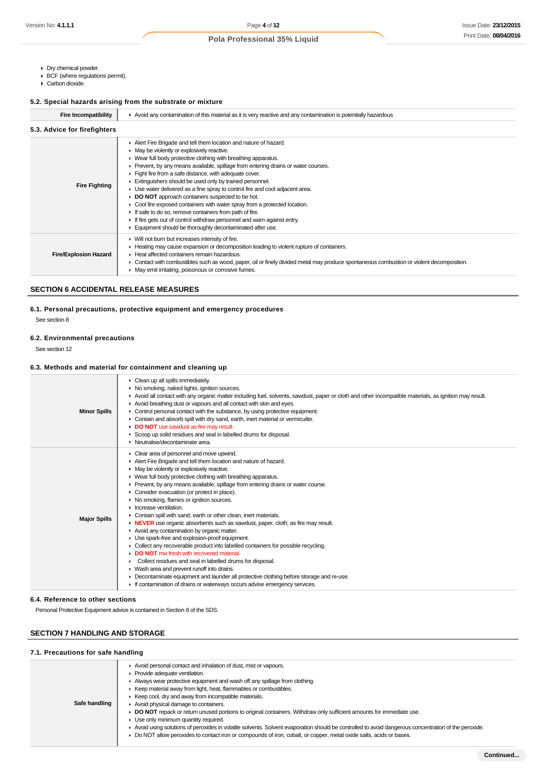- Dry chemical powder.
- BCF (where regulations permit).
- Carbon dioxide.

### **5.2. Special hazards arising from the substrate or mixture**

| <b>Fire Incompatibility</b>  | ► Avoid any contamination of this material as it is very reactive and any contamination is potentially hazardous                                                                                                                                                                                                                                                                                                                                                                                                                                                                                                                                                                                                                                                                                             |  |  |  |
|------------------------------|--------------------------------------------------------------------------------------------------------------------------------------------------------------------------------------------------------------------------------------------------------------------------------------------------------------------------------------------------------------------------------------------------------------------------------------------------------------------------------------------------------------------------------------------------------------------------------------------------------------------------------------------------------------------------------------------------------------------------------------------------------------------------------------------------------------|--|--|--|
| 5.3. Advice for firefighters |                                                                                                                                                                                                                                                                                                                                                                                                                                                                                                                                                                                                                                                                                                                                                                                                              |  |  |  |
| <b>Fire Fighting</b>         | Alert Fire Brigade and tell them location and nature of hazard.<br>• May be violently or explosively reactive.<br>▶ Wear full body protective clothing with breathing apparatus.<br>► Prevent, by any means available, spillage from entering drains or water courses.<br>Fight fire from a safe distance, with adequate cover.<br>Extinguishers should be used only by trained personnel.<br>• Use water delivered as a fine spray to control fire and cool adjacent area.<br>DO NOT approach containers suspected to be hot.<br>• Cool fire exposed containers with water spray from a protected location.<br>If safe to do so, remove containers from path of fire.<br>If fire gets out of control withdraw personnel and warn against entry.<br>Equipment should be thoroughly decontaminated after use. |  |  |  |
| <b>Fire/Explosion Hazard</b> | ▶ Will not burn but increases intensity of fire.<br>► Heating may cause expansion or decomposition leading to violent rupture of containers.<br>Heat affected containers remain hazardous.<br>▶ Contact with combustibles such as wood, paper, oil or finely divided metal may produce spontaneous combustion or violent decomposition.<br>May emit irritating, poisonous or corrosive fumes.                                                                                                                                                                                                                                                                                                                                                                                                                |  |  |  |

## **SECTION 6 ACCIDENTAL RELEASE MEASURES**

## **6.1. Personal precautions, protective equipment and emergency procedures**

See section 8

## **6.2. Environmental precautions**

See section 12

### **6.3. Methods and material for containment and cleaning up**

| <b>Minor Spills</b> | Clean up all spills immediately.<br>• No smoking, naked lights, ignition sources.<br>Avoid all contact with any organic matter including fuel, solvents, sawdust, paper or cloth and other incompatible materials, as ignition may result.<br>Avoid breathing dust or vapours and all contact with skin and eyes.<br>• Control personal contact with the substance, by using protective equipment.<br>Contain and absorb spill with dry sand, earth, inert material or vermiculite.<br>DO NOT use sawdust as fire may result.<br>Scoop up solid residues and seal in labelled drums for disposal.<br>• Neutralise/decontaminate area.                                                                                                                                                                                                                                                                                                                                                                                                                                                                                                       |
|---------------------|---------------------------------------------------------------------------------------------------------------------------------------------------------------------------------------------------------------------------------------------------------------------------------------------------------------------------------------------------------------------------------------------------------------------------------------------------------------------------------------------------------------------------------------------------------------------------------------------------------------------------------------------------------------------------------------------------------------------------------------------------------------------------------------------------------------------------------------------------------------------------------------------------------------------------------------------------------------------------------------------------------------------------------------------------------------------------------------------------------------------------------------------|
| <b>Major Spills</b> | Clear area of personnel and move upwind.<br>Alert Fire Brigade and tell them location and nature of hazard.<br>• May be violently or explosively reactive.<br>▶ Wear full body protective clothing with breathing apparatus.<br>► Prevent, by any means available, spillage from entering drains or water course.<br>Consider evacuation (or protect in place).<br>• No smoking, flames or ignition sources.<br>$\blacktriangleright$ Increase ventilation.<br>• Contain spill with sand, earth or other clean, inert materials.<br>• NEVER use organic absorbents such as sawdust, paper, cloth; as fire may result.<br>Avoid any contamination by organic matter.<br>Use spark-free and explosion-proof equipment.<br>• Collect any recoverable product into labelled containers for possible recycling.<br>DO NOT mix fresh with recovered material<br>Collect residues and seal in labelled drums for disposal.<br>▶ Wash area and prevent runoff into drains.<br>• Decontaminate equipment and launder all protective clothing before storage and re-use.<br>If contamination of drains or waterways occurs advise emergency services. |

#### **6.4. Reference to other sections**

Personal Protective Equipment advice is contained in Section 8 of the SDS.

### **SECTION 7 HANDLING AND STORAGE**

## **7.1. Precautions for safe handling**

| Safe handling | Avoid personal contact and inhalation of dust, mist or vapours.<br>Provide adequate ventilation.<br>Always wear protective equipment and wash off any spillage from clothing.<br>Externation External away from light, heat, flammables or combustibles.<br>▶ Keep cool, dry and away from incompatible materials.<br>Avoid physical damage to containers.<br>▶ DO NOT repack or return unused portions to original containers. Withdraw only sufficient amounts for immediate use.<br>• Use only minimum quantity required.<br>Avoid using solutions of peroxides in volatile solvents. Solvent evaporation should be controlled to avoid dangerous concentration of the peroxide.<br>▶ Do NOT allow peroxides to contact iron or compounds of iron, cobalt, or copper, metal oxide salts, acids or bases. |  |  |  |  |
|---------------|-------------------------------------------------------------------------------------------------------------------------------------------------------------------------------------------------------------------------------------------------------------------------------------------------------------------------------------------------------------------------------------------------------------------------------------------------------------------------------------------------------------------------------------------------------------------------------------------------------------------------------------------------------------------------------------------------------------------------------------------------------------------------------------------------------------|--|--|--|--|
|               |                                                                                                                                                                                                                                                                                                                                                                                                                                                                                                                                                                                                                                                                                                                                                                                                             |  |  |  |  |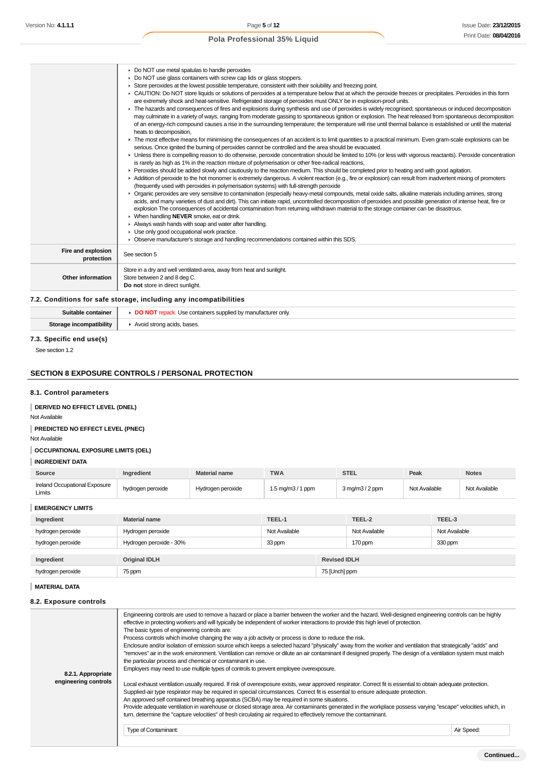|                                  | • Do NOT use metal spatulas to handle peroxides<br>• Do NOT use glass containers with screw cap lids or glass stoppers.                                                                                                                                                                                                                                                                                                                                                                                         |
|----------------------------------|-----------------------------------------------------------------------------------------------------------------------------------------------------------------------------------------------------------------------------------------------------------------------------------------------------------------------------------------------------------------------------------------------------------------------------------------------------------------------------------------------------------------|
|                                  | ► Store peroxides at the lowest possible temperature, consistent with their solubility and freezing point.<br>► CAUTION: Do NOT store liquids or solutions of peroxides at a temperature below that at which the peroxide freezes or precipitates. Peroxides in this form<br>are extremely shock and heat-sensitive. Refrigerated storage of peroxides must ONLY be in explosion-proof units.                                                                                                                   |
|                                  | • The hazards and consequences of fires and explosions during synthesis and use of peroxides is widely recognised; spontaneous or induced decomposition<br>may culminate in a variety of ways, ranging from moderate gassing to spontaneous ignition or explosion. The heat released from spontaneous decomposition<br>of an energy-rich compound causes a rise in the surrounding temperature; the temperature will rise until thermal balance is established or until the material<br>heats to decomposition, |
|                                  | The most effective means for minimising the consequences of an accident is to limit quantities to a practical minimum. Even gram-scale explosions can be<br>serious. Once ignited the burning of peroxides cannot be controlled and the area should be evacuated.                                                                                                                                                                                                                                               |
|                                  | • Unless there is compelling reason to do otherwise, peroxide concentration should be limited to 10% (or less with vigorous reactants). Peroxide concentration<br>is rarely as high as 1% in the reaction mixture of polymerisation or other free-radical reactions,                                                                                                                                                                                                                                            |
|                                  | ▶ Peroxides should be added slowly and cautiously to the reaction medium. This should be completed prior to heating and with good agitation.<br>Addition of peroxide to the hot monomer is extremely dangerous. A violent reaction (e.g., fire or explosion) can result from inadvertent mixing of promoters<br>(frequently used with peroxides in polymerisation systems) with full-strength peroxide                                                                                                          |
|                                  | ▶ Organic peroxides are very sensitive to contamination (especially heavy-metal compounds, metal oxide salts, alkaline materials including amines, strong<br>acids, and many varieties of dust and dirt). This can initiate rapid, uncontrolled decomposition of peroxides and possible generation of intense heat, fire or<br>explosion The consequences of accidental contamination from returning withdrawn material to the storage container can be disastrous.                                             |
|                                  | ▶ When handling NEVER smoke, eat or drink.                                                                                                                                                                                                                                                                                                                                                                                                                                                                      |
|                                  | Always wash hands with soap and water after handling.<br>• Use only good occupational work practice.                                                                                                                                                                                                                                                                                                                                                                                                            |
|                                  | • Observe manufacturer's storage and handling recommendations contained within this SDS.                                                                                                                                                                                                                                                                                                                                                                                                                        |
| Fire and explosion<br>protection | See section 5                                                                                                                                                                                                                                                                                                                                                                                                                                                                                                   |
|                                  | Store in a dry and well ventilated-area, away from heat and sunlight.                                                                                                                                                                                                                                                                                                                                                                                                                                           |
| Other information                | Store between 2 and 8 deg C.                                                                                                                                                                                                                                                                                                                                                                                                                                                                                    |
|                                  | Do not store in direct sunlight.                                                                                                                                                                                                                                                                                                                                                                                                                                                                                |
|                                  | 7.2. Conditions for safe storage, including any incompatibilities                                                                                                                                                                                                                                                                                                                                                                                                                                               |

## **Suitable container <b>DO NOT** repack. Use containers supplied by manufacturer only. **Storage incompatibility**  $\parallel$  **F** Avoid strong acids, bases.

#### **7.3. Specific end use(s)**

See section 1.2

#### **SECTION 8 EXPOSURE CONTROLS / PERSONAL PROTECTION**

#### **8.1. Control parameters**

## **DERIVED NO EFFECT LEVEL (DNEL)**

Not Available **PREDICTED NO EFFECT LEVEL (PNEC)**

Not Available

### **OCCUPATIONAL EXPOSURE LIMITS (OEL)**

### **INGREDIENT DATA**

| Source                                  | Ingredient        | Material name     | <b>TWA</b>                          | STEL               | Peak          | <b>Notes</b>  |
|-----------------------------------------|-------------------|-------------------|-------------------------------------|--------------------|---------------|---------------|
| Ireland Occupational Exposure<br>Limits | hydrogen peroxide | Hydrogen peroxide | $1.5 \text{ mg/m}3 / 1 \text{ ppm}$ | $3$ mg/m $3/2$ ppm | Not Available | Not Available |

### **EMERGENCY LIMITS**

| Ingredient        | <b>Material name</b>    | TEEL-1        |                     | TEEL-2        | TEEL-3        |
|-------------------|-------------------------|---------------|---------------------|---------------|---------------|
| hydrogen peroxide | Hydrogen peroxide       | Not Available |                     | Not Available | Not Available |
| hydrogen peroxide | Hydrogen peroxide - 30% | 33 ppm        |                     | 170 ppm       | 330 ppm       |
| Ingredient        | <b>Original IDLH</b>    |               | <b>Revised IDLH</b> |               |               |
| hydrogen peroxide | 75 ppm                  |               | 75 [Unch] ppm       |               |               |

### **MATERIAL DATA**

#### **8.2. Exposure controls**

| 8.2.1. Appropriate<br>engineering controls | Engineering controls are used to remove a hazard or place a barrier between the worker and the hazard. Well-designed engineering controls can be highly<br>effective in protecting workers and will typically be independent of worker interactions to provide this high level of protection.<br>The basic types of engineering controls are:<br>Process controls which involve changing the way a job activity or process is done to reduce the risk.<br>Enclosure and/or isolation of emission source which keeps a selected hazard "physically" away from the worker and ventilation that strategically "adds" and<br>"removes" air in the work environment. Ventilation can remove or dilute an air contaminant if designed properly. The design of a ventilation system must match<br>the particular process and chemical or contaminant in use.<br>Employers may need to use multiple types of controls to prevent employee overexposure.<br>Local exhaust ventilation usually required. If risk of overexposure exists, wear approved respirator. Correct fit is essential to obtain adequate protection. |            |
|--------------------------------------------|------------------------------------------------------------------------------------------------------------------------------------------------------------------------------------------------------------------------------------------------------------------------------------------------------------------------------------------------------------------------------------------------------------------------------------------------------------------------------------------------------------------------------------------------------------------------------------------------------------------------------------------------------------------------------------------------------------------------------------------------------------------------------------------------------------------------------------------------------------------------------------------------------------------------------------------------------------------------------------------------------------------------------------------------------------------------------------------------------------------|------------|
|                                            | Supplied-air type respirator may be required in special circumstances. Correct fit is essential to ensure adequate protection.<br>An approved self contained breathing apparatus (SCBA) may be required in some situations.                                                                                                                                                                                                                                                                                                                                                                                                                                                                                                                                                                                                                                                                                                                                                                                                                                                                                      |            |
|                                            | Provide adequate ventilation in warehouse or closed storage area. Air contaminants generated in the workplace possess varying "escape" velocities which, in                                                                                                                                                                                                                                                                                                                                                                                                                                                                                                                                                                                                                                                                                                                                                                                                                                                                                                                                                      |            |
|                                            | turn, determine the "capture velocities" of fresh circulating air required to effectively remove the contaminant.                                                                                                                                                                                                                                                                                                                                                                                                                                                                                                                                                                                                                                                                                                                                                                                                                                                                                                                                                                                                |            |
|                                            | Type of Contaminant:                                                                                                                                                                                                                                                                                                                                                                                                                                                                                                                                                                                                                                                                                                                                                                                                                                                                                                                                                                                                                                                                                             | Air Speed: |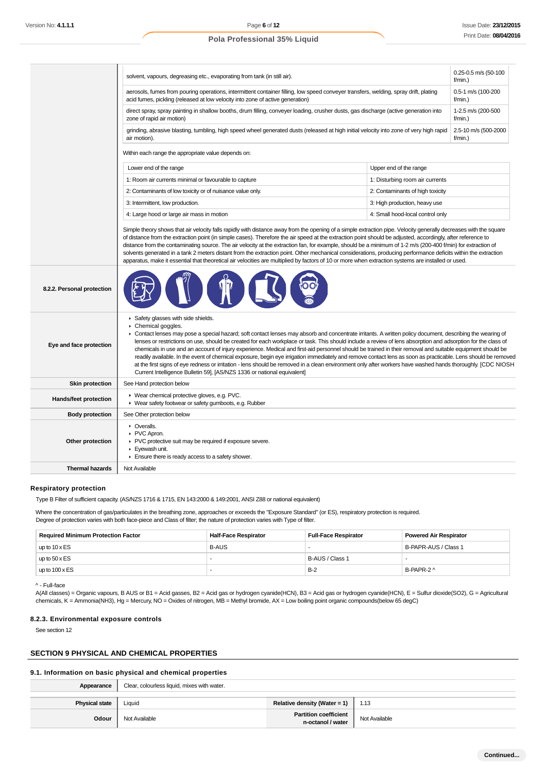|                            | 0.25-0.5 m/s (50-100<br>solvent, vapours, degreasing etc., evaporating from tank (in still air).<br>$f/min.$ )                                                                                                                                                                                                                                                                                                                                                                                                                                                                                                                                                                                                                                                                                                                                                                                                                                               |                                  |                                    |  |  |
|----------------------------|--------------------------------------------------------------------------------------------------------------------------------------------------------------------------------------------------------------------------------------------------------------------------------------------------------------------------------------------------------------------------------------------------------------------------------------------------------------------------------------------------------------------------------------------------------------------------------------------------------------------------------------------------------------------------------------------------------------------------------------------------------------------------------------------------------------------------------------------------------------------------------------------------------------------------------------------------------------|----------------------------------|------------------------------------|--|--|
|                            | aerosols, fumes from pouring operations, intermittent container filling, low speed conveyer transfers, welding, spray drift, plating<br>0.5-1 m/s (100-200<br>acid fumes, pickling (released at low velocity into zone of active generation)<br>$f/min.$ )                                                                                                                                                                                                                                                                                                                                                                                                                                                                                                                                                                                                                                                                                                   |                                  |                                    |  |  |
|                            | 1-2.5 m/s (200-500<br>direct spray, spray painting in shallow booths, drum filling, conveyer loading, crusher dusts, gas discharge (active generation into<br>zone of rapid air motion)<br>$f/min.$ )                                                                                                                                                                                                                                                                                                                                                                                                                                                                                                                                                                                                                                                                                                                                                        |                                  |                                    |  |  |
|                            | grinding, abrasive blasting, tumbling, high speed wheel generated dusts (released at high initial velocity into zone of very high rapid<br>air motion).                                                                                                                                                                                                                                                                                                                                                                                                                                                                                                                                                                                                                                                                                                                                                                                                      |                                  | 2.5-10 m/s (500-2000<br>$f/min.$ ) |  |  |
|                            | Within each range the appropriate value depends on:                                                                                                                                                                                                                                                                                                                                                                                                                                                                                                                                                                                                                                                                                                                                                                                                                                                                                                          |                                  |                                    |  |  |
|                            | Lower end of the range                                                                                                                                                                                                                                                                                                                                                                                                                                                                                                                                                                                                                                                                                                                                                                                                                                                                                                                                       | Upper end of the range           |                                    |  |  |
|                            | 1: Room air currents minimal or favourable to capture                                                                                                                                                                                                                                                                                                                                                                                                                                                                                                                                                                                                                                                                                                                                                                                                                                                                                                        | 1: Disturbing room air currents  |                                    |  |  |
|                            | 2: Contaminants of low toxicity or of nuisance value only.                                                                                                                                                                                                                                                                                                                                                                                                                                                                                                                                                                                                                                                                                                                                                                                                                                                                                                   | 2: Contaminants of high toxicity |                                    |  |  |
|                            | 3: Intermittent, low production.                                                                                                                                                                                                                                                                                                                                                                                                                                                                                                                                                                                                                                                                                                                                                                                                                                                                                                                             | 3: High production, heavy use    |                                    |  |  |
|                            | 4: Large hood or large air mass in motion                                                                                                                                                                                                                                                                                                                                                                                                                                                                                                                                                                                                                                                                                                                                                                                                                                                                                                                    | 4: Small hood-local control only |                                    |  |  |
|                            | Simple theory shows that air velocity falls rapidly with distance away from the opening of a simple extraction pipe. Velocity generally decreases with the square<br>of distance from the extraction point (in simple cases). Therefore the air speed at the extraction point should be adjusted, accordingly, after reference to<br>distance from the contaminating source. The air velocity at the extraction fan, for example, should be a minimum of 1-2 m/s (200-400 f/min) for extraction of<br>solvents generated in a tank 2 meters distant from the extraction point. Other mechanical considerations, producing performance deficits within the extraction<br>apparatus, make it essential that theoretical air velocities are multiplied by factors of 10 or more when extraction systems are installed or used.                                                                                                                                  |                                  |                                    |  |  |
| 8.2.2. Personal protection |                                                                                                                                                                                                                                                                                                                                                                                                                                                                                                                                                                                                                                                                                                                                                                                                                                                                                                                                                              |                                  |                                    |  |  |
| Eye and face protection    | Safety glasses with side shields.<br>Chemical goggles.<br>► Contact lenses may pose a special hazard; soft contact lenses may absorb and concentrate irritants. A written policy document, describing the wearing of<br>lenses or restrictions on use, should be created for each workplace or task. This should include a review of lens absorption and adsorption for the class of<br>chemicals in use and an account of injury experience. Medical and first-aid personnel should be trained in their removal and suitable equipment should be<br>readily available. In the event of chemical exposure, begin eye irrigation immediately and remove contact lens as soon as practicable. Lens should be removed<br>at the first signs of eye redness or irritation - lens should be removed in a clean environment only after workers have washed hands thoroughly. [CDC NIOSH<br>Current Intelligence Bulletin 59], [AS/NZS 1336 or national equivalent] |                                  |                                    |  |  |
| <b>Skin protection</b>     | See Hand protection below                                                                                                                                                                                                                                                                                                                                                                                                                                                                                                                                                                                                                                                                                                                                                                                                                                                                                                                                    |                                  |                                    |  |  |
| Hands/feet protection      | ▶ Wear chemical protective gloves, e.g. PVC.<br>▶ Wear safety footwear or safety gumboots, e.g. Rubber                                                                                                                                                                                                                                                                                                                                                                                                                                                                                                                                                                                                                                                                                                                                                                                                                                                       |                                  |                                    |  |  |
| <b>Body protection</b>     | See Other protection below                                                                                                                                                                                                                                                                                                                                                                                                                                                                                                                                                                                                                                                                                                                                                                                                                                                                                                                                   |                                  |                                    |  |  |
| Other protection           | • Overalls.<br>PVC Apron.<br>▶ PVC protective suit may be required if exposure severe.<br>Eyewash unit.<br>Ensure there is ready access to a safety shower.                                                                                                                                                                                                                                                                                                                                                                                                                                                                                                                                                                                                                                                                                                                                                                                                  |                                  |                                    |  |  |
| <b>Thermal hazards</b>     | Not Available                                                                                                                                                                                                                                                                                                                                                                                                                                                                                                                                                                                                                                                                                                                                                                                                                                                                                                                                                |                                  |                                    |  |  |
|                            |                                                                                                                                                                                                                                                                                                                                                                                                                                                                                                                                                                                                                                                                                                                                                                                                                                                                                                                                                              |                                  |                                    |  |  |

#### **Respiratory protection**

Type B Filter of sufficient capacity. (AS/NZS 1716 & 1715, EN 143:2000 & 149:2001, ANSI Z88 or national equivalent)

Where the concentration of gas/particulates in the breathing zone, approaches or exceeds the "Exposure Standard" (or ES), respiratory protection is required. Degree of protection varies with both face-piece and Class of filter; the nature of protection varies with Type of filter.

| <b>Required Minimum Protection Factor</b> | <b>Half-Face Respirator</b> | <b>Full-Face Respirator</b> | <b>Powered Air Respirator</b> |
|-------------------------------------------|-----------------------------|-----------------------------|-------------------------------|
| up to $10 \times ES$                      | <b>B-AUS</b>                |                             | B-PAPR-AUS / Class 1          |
| up to $50 \times ES$                      |                             | B-AUS / Class 1             | -                             |
| up to $100 \times ES$                     |                             | $B-2$                       | B-PAPR-2 ^                    |

<sup>^ -</sup> Full-face

A(All classes) = Organic vapours, B AUS or B1 = Acid gasses, B2 = Acid gas or hydrogen cyanide(HCN), B3 = Acid gas or hydrogen cyanide(HCN), E = Sulfur dioxide(SO2), G = Agricultural chemicals, K = Ammonia(NH3), Hg = Mercury, NO = Oxides of nitrogen, MB = Methyl bromide, AX = Low boiling point organic compounds(below 65 degC)

#### **8.2.3. Environmental exposure controls**

See section 12

### **SECTION 9 PHYSICAL AND CHEMICAL PROPERTIES**

### **9.1. Information on basic physical and chemical properties**

| Appearance            | Clear, colourless liquid, mixes with water. |                                            |               |
|-----------------------|---------------------------------------------|--------------------------------------------|---------------|
| <b>Physical state</b> | Liquid                                      | Relative density (Water = 1)               | 1.13          |
| Odour                 | Not Available                               | Partition coefficient<br>n-octanol / water | Not Available |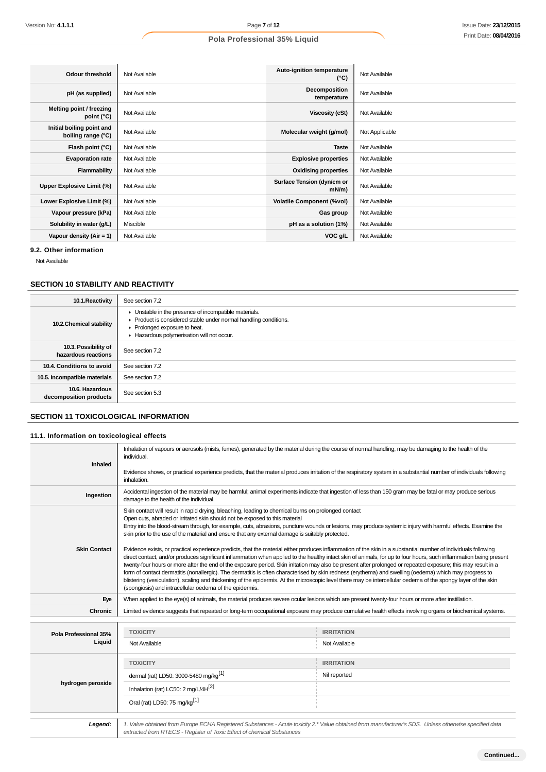| Odour threshold                                 | Not Available | Auto-ignition temperature<br>$(^{\circ}C)$ | Not Available  |
|-------------------------------------------------|---------------|--------------------------------------------|----------------|
| pH (as supplied)                                | Not Available | Decomposition<br>temperature               | Not Available  |
| Melting point / freezing<br>point (°C)          | Not Available | Viscosity (cSt)                            | Not Available  |
| Initial boiling point and<br>boiling range (°C) | Not Available | Molecular weight (g/mol)                   | Not Applicable |
| Flash point (°C)                                | Not Available | <b>Taste</b>                               | Not Available  |
| <b>Evaporation rate</b>                         | Not Available | <b>Explosive properties</b>                | Not Available  |
| Flammability                                    | Not Available | <b>Oxidising properties</b>                | Not Available  |
| Upper Explosive Limit (%)                       | Not Available | Surface Tension (dyn/cm or<br>$mN/m$ )     | Not Available  |
| Lower Explosive Limit (%)                       | Not Available | <b>Volatile Component (%vol)</b>           | Not Available  |
| Vapour pressure (kPa)                           | Not Available | Gas group                                  | Not Available  |
| Solubility in water (g/L)                       | Miscible      | pH as a solution (1%)                      | Not Available  |
| Vapour density ( $Air = 1$ )                    | Not Available | VOC g/L                                    | Not Available  |

**9.2. Other information**

Not Available

## **SECTION 10 STABILITY AND REACTIVITY**

| 10.1. Reactivity                            | See section 7.2                                                                                                                                                                                        |
|---------------------------------------------|--------------------------------------------------------------------------------------------------------------------------------------------------------------------------------------------------------|
| 10.2. Chemical stability                    | • Unstable in the presence of incompatible materials.<br>▶ Product is considered stable under normal handling conditions.<br>• Prolonged exposure to heat.<br>Hazardous polymerisation will not occur. |
| 10.3. Possibility of<br>hazardous reactions | See section 7.2                                                                                                                                                                                        |
| 10.4. Conditions to avoid                   | See section 7.2                                                                                                                                                                                        |
| 10.5. Incompatible materials                | See section 7.2                                                                                                                                                                                        |
| 10.6. Hazardous<br>decomposition products   | See section 5.3                                                                                                                                                                                        |

## **SECTION 11 TOXICOLOGICAL INFORMATION**

## **11.1. Information on toxicological effects**

| Inhaled               | Inhalation of vapours or aerosols (mists, fumes), generated by the material during the course of normal handling, may be damaging to the health of the<br>individual.<br>Evidence shows, or practical experience predicts, that the material produces irritation of the respiratory system in a substantial number of individuals following                                                                                                                                                                                                                                                                                                                                                                                                                                                                                                                                                   |                                                                                                                                                              |  |  |
|-----------------------|-----------------------------------------------------------------------------------------------------------------------------------------------------------------------------------------------------------------------------------------------------------------------------------------------------------------------------------------------------------------------------------------------------------------------------------------------------------------------------------------------------------------------------------------------------------------------------------------------------------------------------------------------------------------------------------------------------------------------------------------------------------------------------------------------------------------------------------------------------------------------------------------------|--------------------------------------------------------------------------------------------------------------------------------------------------------------|--|--|
|                       | inhalation.                                                                                                                                                                                                                                                                                                                                                                                                                                                                                                                                                                                                                                                                                                                                                                                                                                                                                   |                                                                                                                                                              |  |  |
| Ingestion             | damage to the health of the individual.                                                                                                                                                                                                                                                                                                                                                                                                                                                                                                                                                                                                                                                                                                                                                                                                                                                       | Accidental ingestion of the material may be harmful; animal experiments indicate that ingestion of less than 150 gram may be fatal or may produce serious    |  |  |
|                       | Skin contact will result in rapid drying, bleaching, leading to chemical burns on prolonged contact<br>Open cuts, abraded or irritated skin should not be exposed to this material<br>skin prior to the use of the material and ensure that any external damage is suitably protected.                                                                                                                                                                                                                                                                                                                                                                                                                                                                                                                                                                                                        | Entry into the blood-stream through, for example, cuts, abrasions, puncture wounds or lesions, may produce systemic injury with harmful effects. Examine the |  |  |
| <b>Skin Contact</b>   | Evidence exists, or practical experience predicts, that the material either produces inflammation of the skin in a substantial number of individuals following<br>direct contact, and/or produces significant inflammation when applied to the healthy intact skin of animals, for up to four hours, such inflammation being present<br>twenty-four hours or more after the end of the exposure period. Skin irritation may also be present after prolonged or repeated exposure; this may result in a<br>form of contact dermatitis (nonallergic). The dermatitis is often characterised by skin redness (erythema) and swelling (oedema) which may progress to<br>blistering (vesiculation), scaling and thickening of the epidermis. At the microscopic level there may be intercellular oedema of the spongy layer of the skin<br>(spongiosis) and intracellular oedema of the epidermis. |                                                                                                                                                              |  |  |
| Eye                   |                                                                                                                                                                                                                                                                                                                                                                                                                                                                                                                                                                                                                                                                                                                                                                                                                                                                                               | When applied to the eye(s) of animals, the material produces severe ocular lesions which are present twenty-four hours or more after instillation.           |  |  |
| Chronic               | Limited evidence suggests that repeated or long-term occupational exposure may produce cumulative health effects involving organs or biochemical systems.                                                                                                                                                                                                                                                                                                                                                                                                                                                                                                                                                                                                                                                                                                                                     |                                                                                                                                                              |  |  |
| Pola Professional 35% | <b>TOXICITY</b>                                                                                                                                                                                                                                                                                                                                                                                                                                                                                                                                                                                                                                                                                                                                                                                                                                                                               | <b>IRRITATION</b>                                                                                                                                            |  |  |
| Liquid                | Not Available                                                                                                                                                                                                                                                                                                                                                                                                                                                                                                                                                                                                                                                                                                                                                                                                                                                                                 | Not Available                                                                                                                                                |  |  |
|                       | <b>TOXICITY</b>                                                                                                                                                                                                                                                                                                                                                                                                                                                                                                                                                                                                                                                                                                                                                                                                                                                                               | <b>IRRITATION</b>                                                                                                                                            |  |  |
|                       | dermal (rat) LD50: 3000-5480 mg/kg <sup>[1]</sup>                                                                                                                                                                                                                                                                                                                                                                                                                                                                                                                                                                                                                                                                                                                                                                                                                                             | Nil reported                                                                                                                                                 |  |  |
| hydrogen peroxide     | Inhalation (rat) LC50: 2 mg/L/4 $H[2]$                                                                                                                                                                                                                                                                                                                                                                                                                                                                                                                                                                                                                                                                                                                                                                                                                                                        |                                                                                                                                                              |  |  |
|                       | Oral (rat) LD50: 75 mg/kg <sup>[1]</sup>                                                                                                                                                                                                                                                                                                                                                                                                                                                                                                                                                                                                                                                                                                                                                                                                                                                      |                                                                                                                                                              |  |  |
| Legend:               |                                                                                                                                                                                                                                                                                                                                                                                                                                                                                                                                                                                                                                                                                                                                                                                                                                                                                               | 1. Value obtained from Europe ECHA Registered Substances - Acute toxicity 2.* Value obtained from manufacturer's SDS. Unless otherwise specified data        |  |  |
|                       | extracted from RTECS - Register of Toxic Effect of chemical Substances                                                                                                                                                                                                                                                                                                                                                                                                                                                                                                                                                                                                                                                                                                                                                                                                                        |                                                                                                                                                              |  |  |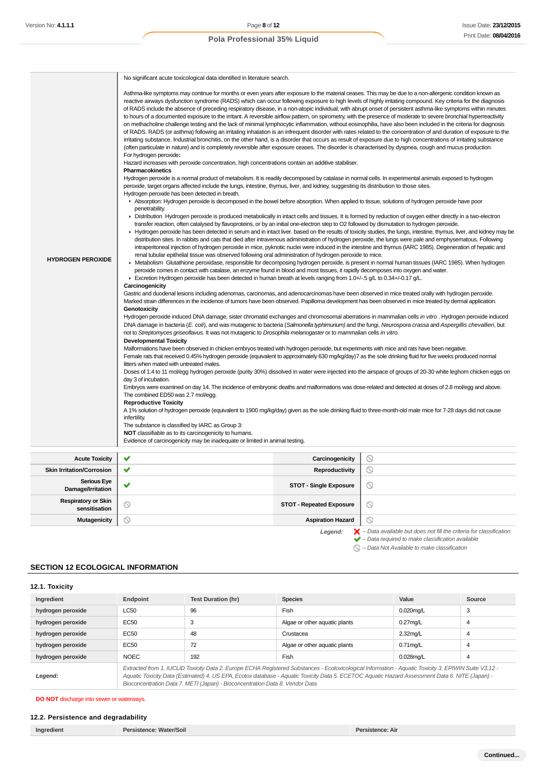| Asthma-like symptoms may continue for months or even years after exposure to the material ceases. This may be due to a non-allergenic condition known as<br>reactive airways dysfunction syndrome (RADS) which can occur following exposure to high levels of highly irritating compound. Key criteria for the diagnosis<br>of RADS include the absence of preceding respiratory disease, in a non-atopic individual, with abrupt onset of persistent asthma-like symptoms within minutes<br>to hours of a documented exposure to the irritant. A reversible airflow pattern, on spirometry, with the presence of moderate to severe bronchial hyperreactivity<br>on methacholine challenge testing and the lack of minimal lymphocytic inflammation, without eosinophilia, have also been included in the criteria for diagnosis<br>of RADS. RADS (or asthma) following an irritating inhalation is an infrequent disorder with rates related to the concentration of and duration of exposure to the<br>irritating substance. Industrial bronchitis, on the other hand, is a disorder that occurs as result of exposure due to high concentrations of irritating substance<br>(often particulate in nature) and is completely reversible after exposure ceases. The disorder is characterised by dyspnea, cough and mucus production.<br>For hydrogen peroxide:<br>Hazard increases with peroxide concentration, high concentrations contain an additive stabiliser.<br>Pharmacokinetics<br>Hydrogen peroxide is a normal product of metabolism. It is readily decomposed by catalase in normal cells. In experimental animals exposed to hydrogen<br>peroxide, target organs affected include the lungs, intestine, thymus, liver, and kidney, suggesting its distribution to those sites.<br>Hydrogen peroxide has been detected in breath.<br>Absorption: Hydrogen peroxide is decomposed in the bowel before absorption. When applied to tissue, solutions of hydrogen peroxide have poor<br>penetrability.<br>► Distribution Hydrogen peroxide is produced metabolically in intact cells and tissues. It is formed by reduction of oxygen either directly in a two-electron<br>transfer reaction, often catalysed by flavoproteins, or by an initial one-electron step to O2 followed by dismutation to hydrogen peroxide.<br>► Hydrogen peroxide has been detected in serum and in intact liver. based on the results of toxicity studies, the lungs, intestine, thymus, liver, and kidney may be<br>distribution sites. In rabbits and cats that died after intravenous administration of hydrogen peroxide, the lungs were pale and emphysematous. Following<br>intraperitoneal injection of hydrogen peroxide in mice, pyknotic nuclei were induced in the intestine and thymus (IARC 1985). Degeneration of hepatic and<br>renal tubular epithelial tissue was observed following oral administration of hydrogen peroxide to mice.<br><b>HYDROGEN PEROXIDE</b><br>► Metabolism Glutathione peroxidase, responsible for decomposing hydrogen peroxide, is present in normal human tissues (IARC 1985). When hydrogen<br>peroxide comes in contact with catalase, an enzyme found in blood and most tissues, it rapidly decomposes into oxygen and water.<br>Excretion Hydrogen peroxide has been detected in human breath at levels ranging from 1.0+/-.5 g/L to 0.34+/-0.17 g/L.<br>Carcinogenicity<br>Gastric and duodenal lesions including adenomas, carcinomas, and adenocarcinomas have been observed in mice treated orally with hydrogen peroxide.<br>Marked strain differences in the incidence of tumors have been observed. Papilloma development has been observed in mice treated by dermal application.<br>Genotoxicity<br>Hydrogen peroxide induced DNA damage, sister chromatid exchanges and chromosomal aberrations in mammalian cells in vitro. Hydrogen peroxide induced<br>DNA damage in bacteria (E. coli), and was mutagenic to bacteria (Salmonella typhimurium) and the fungi, Neurospora crassa and Aspergillis chevallieri, but<br>not to Streptomyces griseoflavus. It was not mutagenic to Drosophila melanogaster or to mammalian cells in vitro.<br><b>Developmental Toxicity</b><br>Malformations have been observed in chicken embryos treated with hydrogen peroxide, but experiments with mice and rats have been negative.<br>Female rats that received 0.45% hydrogen peroxide (equivalent to approximately 630 mg/kg/day)7 as the sole drinking fluid for five weeks produced normal<br>litters when mated with untreated males. | No significant acute toxicological data identified in literature search.                                                                                                                                                                                                                                                |
|------------------------------------------------------------------------------------------------------------------------------------------------------------------------------------------------------------------------------------------------------------------------------------------------------------------------------------------------------------------------------------------------------------------------------------------------------------------------------------------------------------------------------------------------------------------------------------------------------------------------------------------------------------------------------------------------------------------------------------------------------------------------------------------------------------------------------------------------------------------------------------------------------------------------------------------------------------------------------------------------------------------------------------------------------------------------------------------------------------------------------------------------------------------------------------------------------------------------------------------------------------------------------------------------------------------------------------------------------------------------------------------------------------------------------------------------------------------------------------------------------------------------------------------------------------------------------------------------------------------------------------------------------------------------------------------------------------------------------------------------------------------------------------------------------------------------------------------------------------------------------------------------------------------------------------------------------------------------------------------------------------------------------------------------------------------------------------------------------------------------------------------------------------------------------------------------------------------------------------------------------------------------------------------------------------------------------------------------------------------------------------------------------------------------------------------------------------------------------------------------------------------------------------------------------------------------------------------------------------------------------------------------------------------------------------------------------------------------------------------------------------------------------------------------------------------------------------------------------------------------------------------------------------------------------------------------------------------------------------------------------------------------------------------------------------------------------------------------------------------------------------------------------------------------------------------------------------------------------------------------------------------------------------------------------------------------------------------------------------------------------------------------------------------------------------------------------------------------------------------------------------------------------------------------------------------------------------------------------------------------------------------------------------------------------------------------------------------------------------------------------------------------------------------------------------------------------------------------------------------------------------------------------------------------------------------------------------------------------------------------------------------------------------------------------------------------------------------------------------------------------------------------------------------------------------------------------------------------------------------------------------------------------------------------------------------------------------------------------------------------------------------------------------------------------------------------------------------------------------------------------------------------------------------------------------------------------------|-------------------------------------------------------------------------------------------------------------------------------------------------------------------------------------------------------------------------------------------------------------------------------------------------------------------------|
| Doses of 1.4 to 11 mol/egg hydrogen peroxide (purity 30%) dissolved in water were injected into the airspace of groups of 20-30 white leghorn chicken eggs on<br>day 3 of incubation.<br>Embryos were examined on day 14. The incidence of embryonic deaths and malformations was dose-related and detected at doses of 2.8 mol/egg and above.<br>The combined ED50 was 2.7 mol/egg.                                                                                                                                                                                                                                                                                                                                                                                                                                                                                                                                                                                                                                                                                                                                                                                                                                                                                                                                                                                                                                                                                                                                                                                                                                                                                                                                                                                                                                                                                                                                                                                                                                                                                                                                                                                                                                                                                                                                                                                                                                                                                                                                                                                                                                                                                                                                                                                                                                                                                                                                                                                                                                                                                                                                                                                                                                                                                                                                                                                                                                                                                                                                                                                                                                                                                                                                                                                                                                                                                                                                                                                                                                                                                                                                                                                                                                                                                                                                                                                                                                                                                                                                                                                               |                                                                                                                                                                                                                                                                                                                         |
|                                                                                                                                                                                                                                                                                                                                                                                                                                                                                                                                                                                                                                                                                                                                                                                                                                                                                                                                                                                                                                                                                                                                                                                                                                                                                                                                                                                                                                                                                                                                                                                                                                                                                                                                                                                                                                                                                                                                                                                                                                                                                                                                                                                                                                                                                                                                                                                                                                                                                                                                                                                                                                                                                                                                                                                                                                                                                                                                                                                                                                                                                                                                                                                                                                                                                                                                                                                                                                                                                                                                                                                                                                                                                                                                                                                                                                                                                                                                                                                                                                                                                                                                                                                                                                                                                                                                                                                                                                                                                                                                                                                    | <b>Reproductive Toxicity</b><br>A 1% solution of hydrogen peroxide (equivalent to 1900 mg/kg/day) given as the sole drinking fluid to three-month-old male mice for 7-28 days did not cause<br>infertility.<br>The substance is classified by IARC as Group 3:<br>NOT classifiable as to its carcinogenicity to humans. |
| Evidence of carcinogenicity may be inadequate or limited in animal testing.                                                                                                                                                                                                                                                                                                                                                                                                                                                                                                                                                                                                                                                                                                                                                                                                                                                                                                                                                                                                                                                                                                                                                                                                                                                                                                                                                                                                                                                                                                                                                                                                                                                                                                                                                                                                                                                                                                                                                                                                                                                                                                                                                                                                                                                                                                                                                                                                                                                                                                                                                                                                                                                                                                                                                                                                                                                                                                                                                                                                                                                                                                                                                                                                                                                                                                                                                                                                                                                                                                                                                                                                                                                                                                                                                                                                                                                                                                                                                                                                                                                                                                                                                                                                                                                                                                                                                                                                                                                                                                        |                                                                                                                                                                                                                                                                                                                         |

| <b>Acute Toxicity</b>                       | $\sim$                   | Carcinogenicity                 | Y                                                                                        |
|---------------------------------------------|--------------------------|---------------------------------|------------------------------------------------------------------------------------------|
| <b>Skin Irritation/Corrosion</b>            | $\overline{\phantom{a}}$ | Reproductivity                  | $\circ$                                                                                  |
| <b>Serious Eye</b><br>Damage/Irritation     |                          | <b>STOT - Single Exposure</b>   | $\circ$                                                                                  |
| <b>Respiratory or Skin</b><br>sensitisation | ∾                        | <b>STOT - Repeated Exposure</b> | $\circ$                                                                                  |
| Mutagenicity                                | N                        | <b>Aspiration Hazard</b>        | $\circ$                                                                                  |
|                                             |                          | Legend:                         | $\blacktriangleright$ - Data available but does not fill the criteria for classification |

Legend:  $\blacktriangleright$  - Data available but does not fill the criteria for classification<br>  $\blacktriangleright$  - Data required to make classification available

 $\bigcirc$  – Data Not Available to make classification

## **SECTION 12 ECOLOGICAL INFORMATION**

## **12.1. Toxicity**

| Ingredient        | Endpoint                                                                                                                                                                                                                                                                                                                                                                                 | <b>Species</b><br><b>Test Duration (hr)</b><br>Value<br>Source |      |              |   |  |
|-------------------|------------------------------------------------------------------------------------------------------------------------------------------------------------------------------------------------------------------------------------------------------------------------------------------------------------------------------------------------------------------------------------------|----------------------------------------------------------------|------|--------------|---|--|
| hydrogen peroxide | <b>LC50</b>                                                                                                                                                                                                                                                                                                                                                                              | 96                                                             | Fish | $0.020$ mg/L | 3 |  |
| hydrogen peroxide | EC50                                                                                                                                                                                                                                                                                                                                                                                     | $0.27$ mg/L<br>Algae or other aquatic plants<br>3<br>4         |      |              |   |  |
| hydrogen peroxide | <b>EC50</b>                                                                                                                                                                                                                                                                                                                                                                              | 48<br>2.32mg/L<br>Crustacea<br>4                               |      |              |   |  |
| hydrogen peroxide | <b>EC50</b><br>72<br>Algae or other aquatic plants<br>$0.71$ mg/L<br>4                                                                                                                                                                                                                                                                                                                   |                                                                |      |              |   |  |
| hydrogen peroxide | Fish<br><b>NOEC</b><br>192<br>$0.028$ mg/L<br>4                                                                                                                                                                                                                                                                                                                                          |                                                                |      |              |   |  |
| Legend:           | Extracted from 1. IUCLID Toxicity Data 2. Europe ECHA Registered Substances - Ecotoxicological Information - Aquatic Toxicity 3. EPIWIN Suite V3.12 -<br>Aquatic Toxicity Data (Estimated) 4. US EPA, Ecotox database - Aquatic Toxicity Data 5. ECETOC Aquatic Hazard Assessment Data 6. NITE (Japan) -<br>Bioconcentration Data 7. METI (Japan) - Bioconcentration Data 8. Vendor Data |                                                                |      |              |   |  |

**DO NOT** discharge into sewer or waterways.

### **12.2. Persistence and degradability**

| Ingredient | Persistence: Water/Soil | Persistence: Air |
|------------|-------------------------|------------------|
|------------|-------------------------|------------------|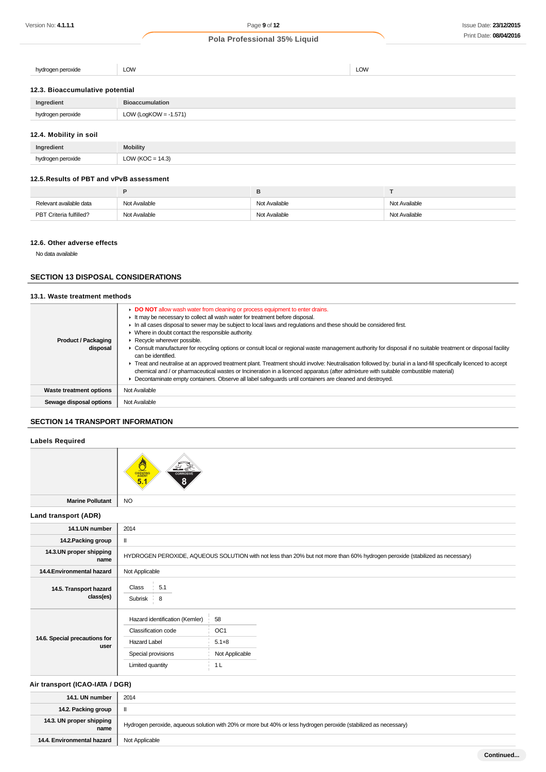hydrogen peroxide LOW LOW LOW LOW CONTROL COMPUTER THE LOW LOW LOW LOW LOW LOW

### **12.3. Bioaccumulative potential**

| Ingredient        | <b>Bioaccumulation</b>  |
|-------------------|-------------------------|
| hvdrogen peroxide | $LOW$ (LogKOW = -1.571) |
|                   |                         |

## **12.4. Mobility in soil**

| Ingredient        | <b>Mobility</b>     |
|-------------------|---------------------|
| hudrogen nerovide | LOW (KOC = $14.3$ ) |

### **12.5.Results of PBT and vPvB assessment**

| Relevant available data | Not Available | Not Available | Not Available |
|-------------------------|---------------|---------------|---------------|
| PBT Criteria fulfilled? | Not Available | Not Available | Not Available |

#### **12.6. Other adverse effects**

No data available

### **SECTION 13 DISPOSAL CONSIDERATIONS**

## **13.1. Waste treatment methods**

| <b>Product / Packaging</b><br>disposal | • DO NOT allow wash water from cleaning or process equipment to enter drains.<br>It may be necessary to collect all wash water for treatment before disposal.<br>In all cases disposal to sewer may be subject to local laws and requlations and these should be considered first.<br>Where in doubt contact the responsible authority.<br>Recycle wherever possible.<br>• Consult manufacturer for recycling options or consult local or regional waste management authority for disposal if no suitable treatment or disposal facility<br>can be identified.<br>F Treat and neutralise at an approved treatment plant. Treatment should involve: Neutralisation followed by: burial in a land-fill specifically licenced to accept<br>chemical and / or pharmaceutical wastes or Incineration in a licenced apparatus (after admixture with suitable combustible material)<br>Decontaminate empty containers. Observe all label safequards until containers are cleaned and destroyed. |
|----------------------------------------|------------------------------------------------------------------------------------------------------------------------------------------------------------------------------------------------------------------------------------------------------------------------------------------------------------------------------------------------------------------------------------------------------------------------------------------------------------------------------------------------------------------------------------------------------------------------------------------------------------------------------------------------------------------------------------------------------------------------------------------------------------------------------------------------------------------------------------------------------------------------------------------------------------------------------------------------------------------------------------------|
| <b>Waste treatment options</b>         | Not Available                                                                                                                                                                                                                                                                                                                                                                                                                                                                                                                                                                                                                                                                                                                                                                                                                                                                                                                                                                            |
| Sewage disposal options                | Not Available                                                                                                                                                                                                                                                                                                                                                                                                                                                                                                                                                                                                                                                                                                                                                                                                                                                                                                                                                                            |

## **SECTION 14 TRANSPORT INFORMATION**

### **Labels Required**



**Land transport (ADR)**

| 14.1.UN number                        | 2014                           |                                                                                                                              |  |
|---------------------------------------|--------------------------------|------------------------------------------------------------------------------------------------------------------------------|--|
| 14.2. Packing group                   |                                |                                                                                                                              |  |
| 14.3.UN proper shipping<br>name       |                                | HYDROGEN PEROXIDE, AQUEOUS SOLUTION with not less than 20% but not more than 60% hydrogen peroxide (stabilized as necessary) |  |
| 14.4. Environmental hazard            | Not Applicable                 |                                                                                                                              |  |
| 14.5. Transport hazard<br>class(es)   | 5.1<br>Class<br>Subrisk 8      |                                                                                                                              |  |
|                                       | Hazard identification (Kemler) | 58                                                                                                                           |  |
| 14.6. Special precautions for<br>user | Classification code            | OC <sub>1</sub>                                                                                                              |  |
|                                       | Hazard Label                   | $5.1 + 8$                                                                                                                    |  |
|                                       | Special provisions             | Not Applicable                                                                                                               |  |
|                                       | Limited quantity               | 1 <sub>L</sub>                                                                                                               |  |
|                                       |                                |                                                                                                                              |  |

#### **Air transport (ICAO-IATA / DGR)**

| 14.1. UN number                  | 2014                                                                                                             |
|----------------------------------|------------------------------------------------------------------------------------------------------------------|
| 14.2. Packing group              | Ш                                                                                                                |
| 14.3. UN proper shipping<br>name | Hydrogen peroxide, aqueous solution with 20% or more but 40% or less hydrogen peroxide (stabilized as necessary) |
| 14.4. Environmental hazard       | Not Applicable                                                                                                   |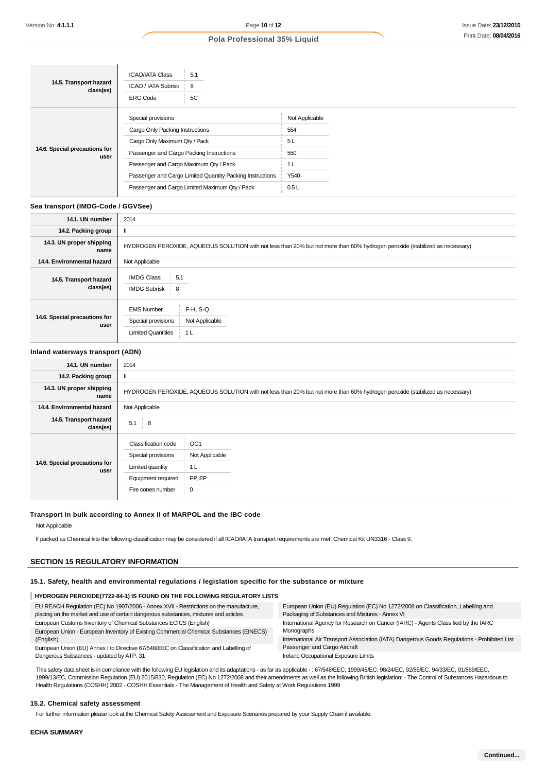| 14.5. Transport hazard<br>class(es)   | <b>ICAO/IATA Class</b><br>5.1<br>ICAO / IATA Subrisk<br>8<br><b>ERG Code</b><br>5C |                |
|---------------------------------------|------------------------------------------------------------------------------------|----------------|
| 14.6. Special precautions for<br>user | Special provisions                                                                 | Not Applicable |
|                                       | Cargo Only Packing Instructions                                                    | 554            |
|                                       | Cargo Only Maximum Qty / Pack                                                      | 5L             |
|                                       | Passenger and Cargo Packing Instructions                                           | 550            |
|                                       | Passenger and Cargo Maximum Qty / Pack                                             | 1 <sub>L</sub> |
|                                       | Passenger and Cargo Limited Quantity Packing Instructions                          | Y540           |
|                                       | Passenger and Cargo Limited Maximum Qty / Pack                                     | 0.5L           |

#### **Sea transport (IMDG-Code / GGVSee)**

| 14.1. UN number                       | 2014                                                                                                                         |
|---------------------------------------|------------------------------------------------------------------------------------------------------------------------------|
| 14.2. Packing group                   | $\mathbf{I}$                                                                                                                 |
| 14.3. UN proper shipping<br>name      | HYDROGEN PEROXIDE, AQUEOUS SOLUTION with not less than 20% but not more than 60% hydrogen peroxide (stabilized as necessary) |
| 14.4. Environmental hazard            | Not Applicable                                                                                                               |
| 14.5. Transport hazard<br>class(es)   | <b>IMDG Class</b><br>5.1<br><b>IMDG Subrisk</b><br>$\frac{1}{2}$ 8                                                           |
| 14.6. Special precautions for<br>user | $F-H, S-Q$<br><b>EMS Number</b><br>Special provisions<br>Not Applicable<br><b>Limited Quantities</b><br>1 <sub>L</sub>       |

### **Inland waterways transport (ADN)**

| 14.1. UN number                       | 2014                                                                                                                         |
|---------------------------------------|------------------------------------------------------------------------------------------------------------------------------|
| 14.2. Packing group                   |                                                                                                                              |
| 14.3. UN proper shipping<br>name      | HYDROGEN PEROXIDE, AQUEOUS SOLUTION with not less than 20% but not more than 60% hydrogen peroxide (stabilized as necessary) |
| 14.4. Environmental hazard            | Not Applicable                                                                                                               |
| 14.5. Transport hazard<br>class(es)   | 5.1<br>$\frac{1}{2}$ 8                                                                                                       |
| 14.6. Special precautions for<br>user | Classification code<br>OC <sub>1</sub><br>Special provisions<br>Not Applicable                                               |
|                                       | Limited quantity<br>1 <sub>L</sub>                                                                                           |
|                                       | PP, EP<br>Equipment required                                                                                                 |
|                                       | $\frac{1}{2}$ 0<br>Fire cones number                                                                                         |

#### **Transport in bulk according to Annex II of MARPOL and the IBC code**

Not Applicable

If packed as Chemical kits the following classification may be considered if all ICAO/IATA transport requirements are met: Chemical Kit UN3316 - Class 9.

## **SECTION 15 REGULATORY INFORMATION**

### **15.1. Safety, health and environmental regulations / legislation specific for the substance or mixture**

## **HYDROGEN PEROXIDE(7722-84-1) IS FOUND ON THE FOLLOWING REGULATORY LISTS**

| EU REACH Regulation (EC) No 1907/2006 - Annex XVII - Restrictions on the manufacture,<br>placing on the market and use of certain dangerous substances, mixtures and articles | European Union (EU) Regulation (EC) No 1272/2008 on Classification, Labelling and<br>Packaging of Substances and Mixtures - Annex VI |  |
|-------------------------------------------------------------------------------------------------------------------------------------------------------------------------------|--------------------------------------------------------------------------------------------------------------------------------------|--|
| European Customs Inventory of Chemical Substances ECICS (English)                                                                                                             | International Agency for Research on Cancer (IARC) - Agents Classified by the IARC                                                   |  |
| European Union - European Inventory of Existing Commercial Chemical Substances (EINECS)                                                                                       | Monographs                                                                                                                           |  |
| (English)                                                                                                                                                                     | International Air Transport Association (IATA) Dangerous Goods Regulations - Prohibited List                                         |  |
| European Union (EU) Annex I to Directive 67/548/EEC on Classification and Labelling of                                                                                        | Passenger and Cargo Aircraft                                                                                                         |  |
| Dangerous Substances - updated by ATP: 31                                                                                                                                     | Ireland Occupational Exposure Limits                                                                                                 |  |

This safety data sheet is in compliance with the following EU legislation and its adaptations - as far as applicable - : 67/548/EEC, 1999/45/EC, 98/24/EC, 92/85/EC, 94/33/EC, 91/689/EEC, 1999/13/EC, Commission Regulation (EU) 2015/830, Regulation (EC) No 1272/2008 and their amendments as well as the following British legislation: - The Control of Substances Hazardous to Health Regulations (COSHH) 2002 - COSHH Essentials - The Management of Health and Safety at Work Regulations 1999

#### **15.2. Chemical safety assessment**

For further information please look at the Chemical Safety Assessment and Exposure Scenarios prepared by your Supply Chain if available.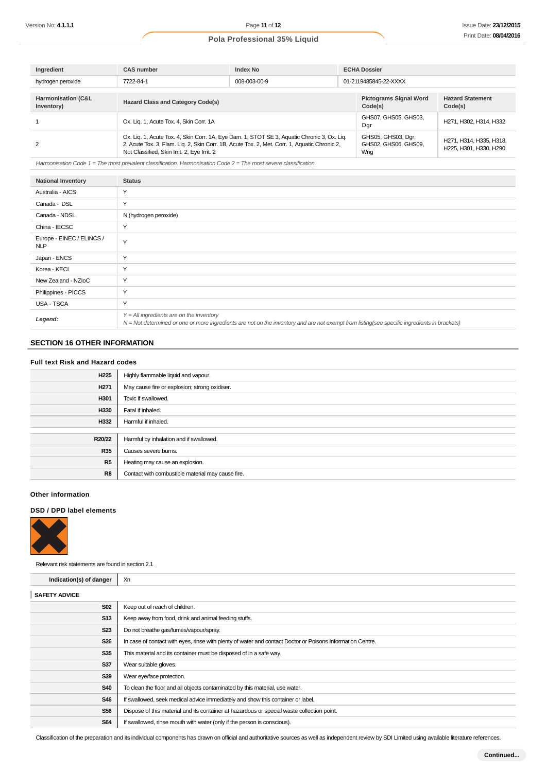| Ingredient                                  | <b>CAS number</b>                           | <b>Index No</b>                                                                                                                                                                             | <b>ECHA Dossier</b>                               |                                                   |
|---------------------------------------------|---------------------------------------------|---------------------------------------------------------------------------------------------------------------------------------------------------------------------------------------------|---------------------------------------------------|---------------------------------------------------|
| hydrogen peroxide                           | 7722-84-1                                   | 008-003-00-9                                                                                                                                                                                | 01-2119485845-22-XXXX                             |                                                   |
|                                             |                                             |                                                                                                                                                                                             |                                                   |                                                   |
| <b>Harmonisation (C&amp;L</b><br>Inventory) | <b>Hazard Class and Category Code(s)</b>    |                                                                                                                                                                                             | <b>Pictograms Signal Word</b><br>Code(s)          | <b>Hazard Statement</b><br>Code(s)                |
|                                             | Ox. Lig. 1, Acute Tox. 4, Skin Corr. 1A     |                                                                                                                                                                                             | GHS07, GHS05, GHS03,<br>Dgr                       | H271, H302, H314, H332                            |
|                                             | Not Classified, Skin Irrit. 2, Eye Irrit. 2 | Ox. Liq. 1, Acute Tox. 4, Skin Corr. 1A, Eye Dam. 1, STOT SE 3, Aquatic Chronic 3, Ox. Liq.<br>2, Acute Tox. 3, Flam. Lig. 2, Skin Corr. 1B, Acute Tox. 2, Met. Corr. 1, Aquatic Chronic 2, | GHS05, GHS03, Dgr,<br>GHS02, GHS06, GHS09,<br>Wng | H271, H314, H335, H318,<br>H225, H301, H330, H290 |

Harmonisation Code  $1 =$  The most prevalent classification. Harmonisation Code  $2 =$  The most severe classification.

| <b>National Inventory</b>               | <b>Status</b>                                                                                                                                                                              |
|-----------------------------------------|--------------------------------------------------------------------------------------------------------------------------------------------------------------------------------------------|
| Australia - AICS                        | Y                                                                                                                                                                                          |
| Canada - DSL                            | Y                                                                                                                                                                                          |
| Canada - NDSL                           | N (hydrogen peroxide)                                                                                                                                                                      |
| China - IECSC                           | Y                                                                                                                                                                                          |
| Europe - EINEC / ELINCS /<br><b>NLP</b> | Y                                                                                                                                                                                          |
| Japan - ENCS                            | Y                                                                                                                                                                                          |
| Korea - KECI                            | Y                                                                                                                                                                                          |
| New Zealand - NZIoC                     | Y                                                                                                                                                                                          |
| Philippines - PICCS                     | Y                                                                                                                                                                                          |
| <b>USA - TSCA</b>                       | Y                                                                                                                                                                                          |
| Legend:                                 | $Y = All$ ingredients are on the inventory<br>N = Not determined or one or more ingredients are not on the inventory and are not exempt from listing(see specific ingredients in brackets) |

## **SECTION 16 OTHER INFORMATION**

| <b>Full text Risk and Hazard codes</b> |  |
|----------------------------------------|--|
|----------------------------------------|--|

| H <sub>225</sub> | Highly flammable liquid and vapour.               |
|------------------|---------------------------------------------------|
| H <sub>271</sub> | May cause fire or explosion; strong oxidiser.     |
| H301             | Toxic if swallowed.                               |
| H330             | Fatal if inhaled.                                 |
| H332             | Harmful if inhaled.                               |
|                  |                                                   |
| R20/22           | Harmful by inhalation and if swallowed.           |
| <b>R35</b>       | Causes severe burns.                              |
| R5               | Heating may cause an explosion.                   |
| R8               | Contact with combustible material may cause fire. |

### **Other information**

### **DSD / DPD label elements**



Relevant risk statements are found in section 2.1

Î.

| Indication(s) of danger | Xn                                                                                                         |
|-------------------------|------------------------------------------------------------------------------------------------------------|
| <b>SAFETY ADVICE</b>    |                                                                                                            |
| <b>S02</b>              | Keep out of reach of children.                                                                             |
| <b>S13</b>              | Keep away from food, drink and animal feeding stuffs.                                                      |
| <b>S23</b>              | Do not breathe gas/fumes/vapour/spray.                                                                     |
| <b>S26</b>              | In case of contact with eyes, rinse with plenty of water and contact Doctor or Poisons Information Centre. |
| <b>S35</b>              | This material and its container must be disposed of in a safe way.                                         |
| <b>S37</b>              | Wear suitable gloves.                                                                                      |
| <b>S39</b>              | Wear eye/face protection.                                                                                  |
| <b>S40</b>              | To clean the floor and all objects contaminated by this material, use water.                               |
| <b>S46</b>              | If swallowed, seek medical advice immediately and show this container or label.                            |
| <b>S56</b>              | Dispose of this material and its container at hazardous or special waste collection point.                 |
| <b>S64</b>              | If swallowed, rinse mouth with water (only if the person is conscious).                                    |
|                         |                                                                                                            |

Classification of the preparation and its individual components has drawn on official and authoritative sources as well as independent review by SDI Limited using available literature references.